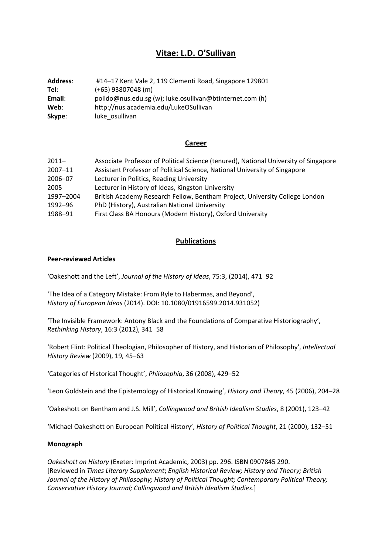# **Vitae: L.D. O'Sullivan**

| <b>Address:</b> | #14-17 Kent Vale 2, 119 Clementi Road, Singapore 129801  |
|-----------------|----------------------------------------------------------|
| Tel:            | $(+65)$ 93807048 (m)                                     |
| Email:          | polldo@nus.edu.sg (w); luke.osullivan@btinternet.com (h) |
| Web:            | http://nus.academia.edu/LukeOSullivan                    |
| Skype:          | luke osullivan                                           |

### **Career**

| $2011 -$    | Associate Professor of Political Science (tenured), National University of Singapore |
|-------------|--------------------------------------------------------------------------------------|
| $2007 - 11$ | Assistant Professor of Political Science, National University of Singapore           |
| 2006-07     | Lecturer in Politics, Reading University                                             |
| 2005        | Lecturer in History of Ideas, Kingston University                                    |
| 1997-2004   | British Academy Research Fellow, Bentham Project, University College London          |
| 1992-96     | PhD (History), Australian National University                                        |
| 1988-91     | First Class BA Honours (Modern History), Oxford University                           |

# **Publications**

### **Peer‐reviewed Articles**

'Oakeshott and the Left', *Journal of the History of Ideas*, 75:3, (2014), 47192

'The Idea of a Category Mistake: From Ryle to Habermas, and Beyond', *History of European Ideas* (2014). DOI: 10.1080/01916599.2014.931052)

'The Invisible Framework: Antony Black and the Foundations of Comparative Historiography', *Rethinking History*, 16:3 (2012), 34158

'Robert Flint: Political Theologian, Philosopher of History, and Historian of Philosophy', *Intellectual History Review* (2009), 19*,* 45–63

'Categories of Historical Thought', *Philosophia*, 36 (2008), 429–52

'Leon Goldstein and the Epistemology of Historical Knowing', *History and Theory*, 45 (2006), 204–28

'Oakeshott on Bentham and J.S. Mill', *Collingwood and British Idealism Studies*, 8 (2001), 123–42

'Michael Oakeshott on European Political History', *History of Political Thought*, 21 (2000), 132–51

#### **Monograph**

*Oakeshott on History* (Exeter: Imprint Academic, 2003) pp. 296. ISBN 0907845 290. [Reviewed in *Times Literary Supplement*; *English Historical Review; History and Theory; British Journal of the History of Philosophy; History of Political Thought; Contemporary Political Theory; Conservative History Journal; Collingwood and British Idealism Studies*.]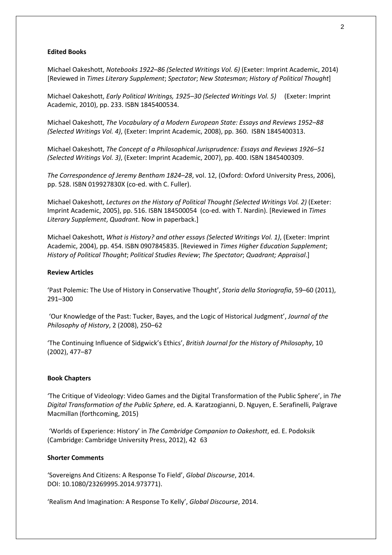#### **Edited Books**

Michael Oakeshott, *Notebooks 1922–86 (Selected Writings Vol. 6)* (Exeter: Imprint Academic, 2014) [Reviewed in *Times Literary Supplement*; *Spectator*; *New Statesman*; *History of Political Thought*]

Michael Oakeshott, *Early Political Writings, 1925–30 (Selected Writings Vol. 5)* (Exeter: Imprint Academic, 2010), pp. 233. ISBN 1845400534.

Michael Oakeshott, *The Vocabulary of a Modern European State: Essays and Reviews 1952–88 (Selected Writings Vol. 4)*, (Exeter: Imprint Academic, 2008), pp. 360. ISBN 1845400313.

Michael Oakeshott, *The Concept of a Philosophical Jurisprudence: Essays and Reviews 1926–51 (Selected Writings Vol. 3)*, (Exeter: Imprint Academic, 2007), pp. 400. ISBN 1845400309.

*The Correspondence of Jeremy Bentham 1824–28*, vol. 12, (Oxford: Oxford University Press, 2006), pp. 528. ISBN 019927830X (co‐ed. with C. Fuller).

Michael Oakeshott, *Lectures on the History of Political Thought (Selected Writings Vol. 2)* (Exeter: Imprint Academic, 2005), pp. 516. ISBN 184500054 (co‐ed. with T. Nardin). [Reviewed in *Times Literary Supplement*, *Quadrant*. Now in paperback.]

Michael Oakeshott, *What is History? and other essays (Selected Writings Vol. 1)*, (Exeter: Imprint Academic, 2004), pp. 454. ISBN 0907845835. [Reviewed in *Times Higher Education Supplement*; *History of Political Thought*; *Political Studies Review*; *The Spectator*; *Quadrant; Appraisal*.]

#### **Review Articles**

'Past Polemic: The Use of History in Conservative Thought', *Storia della Storiografia*, 59–60 (2011), 291–300

'Our Knowledge of the Past: Tucker, Bayes, and the Logic of Historical Judgment', *Journal of the Philosophy of History*, 2 (2008), 250–62

'The Continuing Influence of Sidgwick's Ethics', *British Journal for the History of Philosophy*, 10 (2002), 477–87

#### **Book Chapters**

'The Critique of Videology: Video Games and the Digital Transformation of the Public Sphere', in *The Digital Transformation of the Public Sphere*, ed. A. Karatzogianni, D. Nguyen, E. Serafinelli, Palgrave Macmillan (forthcoming, 2015)

'Worlds of Experience: History' in *The Cambridge Companion to Oakeshott*, ed. E. Podoksik (Cambridge: Cambridge University Press, 2012), 4263

#### **Shorter Comments**

'Sovereigns And Citizens: A Response To Field', *Global Discourse*, 2014. DOI: 10.1080/23269995.2014.973771).

'Realism And Imagination: A Response To Kelly', *Global Discourse*, 2014.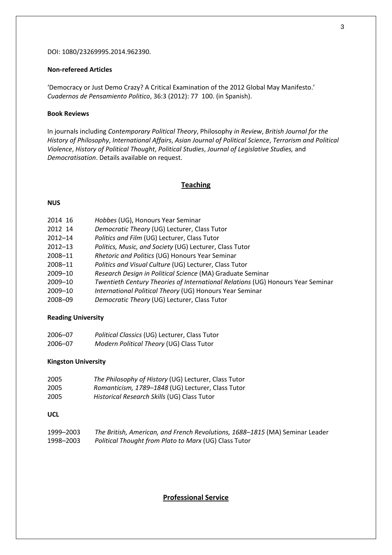#### DOI: 1080/23269995.2014.962390.

### **Non‐refereed Articles**

'Democracy or Just Demo Crazy? A Critical Examination of the 2012 Global May Manifesto.' *Cuadernos de Pensamiento Politico*, 36:3 (2012): 77100. (in Spanish).

### **Book Reviews**

In journals including *Contemporary Political Theory*, Philosophy *in Review*, *British Journal for the History of Philosophy*, *International Affairs*, *Asian Journal of Political Science*, *Terrorism and Political Violence*, *History of Political Thought*, *Political Studies*, *Journal of Legislative Studies,* and *Democratisation*. Details available on request.

### **Teaching**

### **NUS**

| 2014 16 | Hobbes (UG), Honours Year Seminar                                               |
|---------|---------------------------------------------------------------------------------|
| 2012 14 | Democratic Theory (UG) Lecturer, Class Tutor                                    |
| 2012-14 | Politics and Film (UG) Lecturer, Class Tutor                                    |
| 2012-13 | Politics, Music, and Society (UG) Lecturer, Class Tutor                         |
| 2008-11 | Rhetoric and Politics (UG) Honours Year Seminar                                 |
| 2008-11 | Politics and Visual Culture (UG) Lecturer, Class Tutor                          |
| 2009-10 | Research Design in Political Science (MA) Graduate Seminar                      |
| 2009-10 | Twentieth Century Theories of International Relations (UG) Honours Year Seminar |
| 2009-10 | International Political Theory (UG) Honours Year Seminar                        |
| 2008-09 | Democratic Theory (UG) Lecturer, Class Tutor                                    |
|         |                                                                                 |

### **Reading University**

| 2006-07 | Political Classics (UG) Lecturer, Class Tutor |
|---------|-----------------------------------------------|
| 2006-07 | Modern Political Theory (UG) Class Tutor      |

### **Kingston University**

| 2005 | The Philosophy of History (UG) Lecturer, Class Tutor |
|------|------------------------------------------------------|
| 2005 | Romanticism, 1789-1848 (UG) Lecturer, Class Tutor    |
| 2005 | Historical Research Skills (UG) Class Tutor          |

### **UCL**

| 1999-2003 | The British, American, and French Revolutions, 1688-1815 (MA) Seminar Leader |
|-----------|------------------------------------------------------------------------------|
| 1998-2003 | Political Thought from Plato to Marx (UG) Class Tutor                        |

### **Professional Service**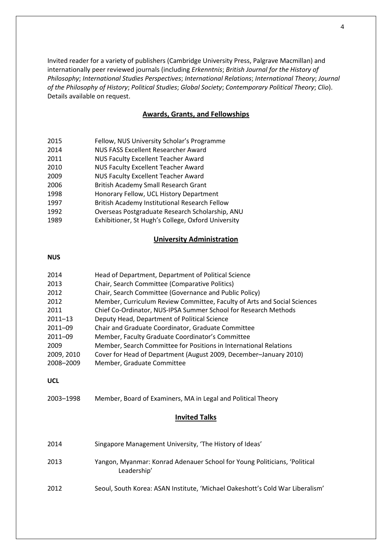Invited reader for a variety of publishers (Cambridge University Press, Palgrave Macmillan) and internationally peer reviewed journals (including *Erkenntnis*; *British Journal for the History of Philosophy*; *International Studies Perspectives*; *International Relations*; *International Theory*; *Journal of the Philosophy of History*; *Political Studies*; *Global Society*; *Contemporary Political Theory*; *Clio*). Details available on request.

# **Awards, Grants, and Fellowships**

- 2015 Fellow, NUS University Scholar's Programme
- 2014 NUS FASS Excellent Researcher Award
- 2011 NUS Faculty Excellent Teacher Award
- 2010 NUS Faculty Excellent Teacher Award
- 2009 NUS Faculty Excellent Teacher Award
- 2006 British Academy Small Research Grant
- 1998 Honorary Fellow, UCL History Department
- 1997 British Academy Institutional Research Fellow
- 1992 Overseas Postgraduate Research Scholarship, ANU
- 1989 Exhibitioner, St Hugh's College, Oxford University

# **University Administration**

#### **NUS**

| 2014        | Head of Department, Department of Political Science                      |
|-------------|--------------------------------------------------------------------------|
| 2013        | Chair, Search Committee (Comparative Politics)                           |
| 2012        | Chair, Search Committee (Governance and Public Policy)                   |
| 2012        | Member, Curriculum Review Committee, Faculty of Arts and Social Sciences |
| 2011        | Chief Co-Ordinator, NUS-IPSA Summer School for Research Methods          |
| $2011 - 13$ | Deputy Head, Department of Political Science                             |
| 2011-09     | Chair and Graduate Coordinator, Graduate Committee                       |
| $2011 - 09$ | Member, Faculty Graduate Coordinator's Committee                         |
| 2009        | Member, Search Committee for Positions in International Relations        |
| 2009, 2010  | Cover for Head of Department (August 2009, December-January 2010)        |
| 2008-2009   | Member, Graduate Committee                                               |
|             |                                                                          |

#### **UCL**

2003–1998 Member, Board of Examiners, MA in Legal and Political Theory

### **Invited Talks**

| 2014 | Singapore Management University, 'The History of Ideas'                                  |
|------|------------------------------------------------------------------------------------------|
| 2013 | Yangon, Myanmar: Konrad Adenauer School for Young Politicians, 'Political<br>Leadership' |
| 2012 | Seoul, South Korea: ASAN Institute, 'Michael Oakeshott's Cold War Liberalism'            |